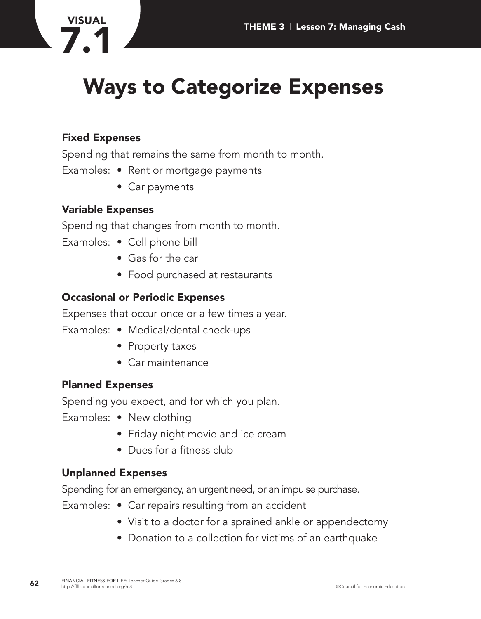

# **Ways to Categorize Expenses**

### **Fixed Expenses**

Spending that remains the same from month to month.

- Examples: Rent or mortgage payments
	- Car payments

### **Variable Expenses**

Spending that changes from month to month.

- Examples: Cell phone bill
	- Gas for the car
	- Food purchased at restaurants

### **Occasional or Periodic Expenses**

Expenses that occur once or a few times a year.

- Examples: Medical/dental check-ups
	- Property taxes
	- Car maintenance

#### **Planned Expenses**

Spending you expect, and for which you plan.

- Examples: New clothing
	- Friday night movie and ice cream
	- Dues for a fitness club

#### **Unplanned Expenses**

Spending for an emergency, an urgent need, or an impulse purchase.

- Examples: Car repairs resulting from an accident
	- Visit to a doctor for a sprained ankle or appendectomy
	- Donation to a collection for victims of an earthquake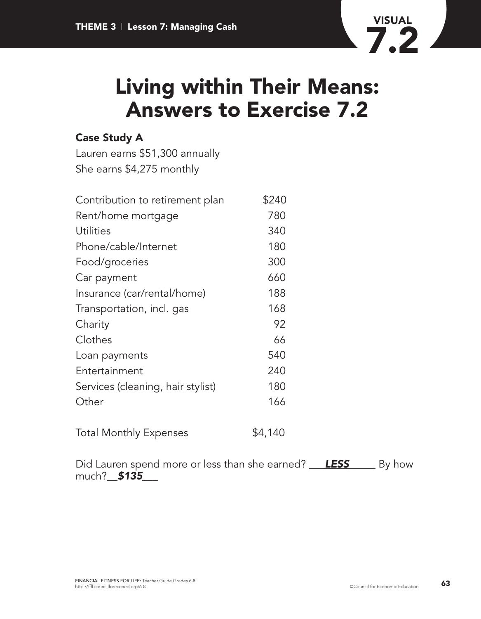

### **Case Study A**

Lauren earns \$51,300 annually She earns \$4,275 monthly

| Contribution to retirement plan   | \$240 |
|-----------------------------------|-------|
| Rent/home mortgage                | 780   |
| Utilities                         | 340   |
| Phone/cable/Internet              | 180   |
| Food/groceries                    | 300   |
| Car payment                       | 660   |
| Insurance (car/rental/home)       | 188   |
| Transportation, incl. gas         | 168   |
| Charity                           | 92    |
| Clothes                           | 66    |
| Loan payments                     | 540   |
| Entertainment                     | 240   |
| Services (cleaning, hair stylist) | 180   |
| Other                             | 166   |
|                                   |       |
|                                   |       |

Total Monthly Expenses  $$4,140$ 

Did Lauren spend more or less than she earned? \_\_*\_LESS\_\_*\_\_\_ By how much?\_\_*\$135\_*\_\_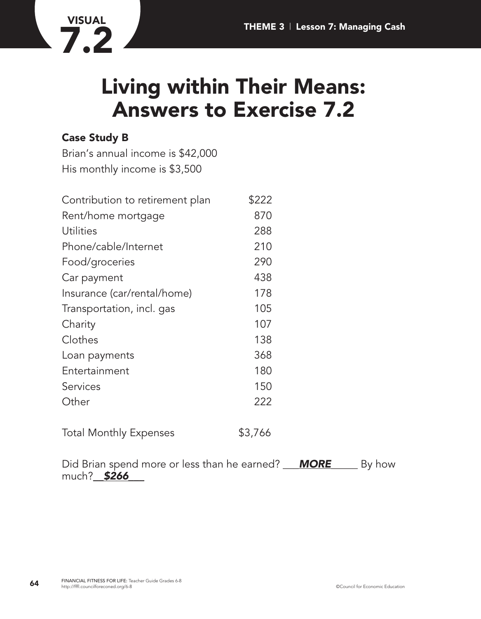

### **Case Study B**

**VISUAL**

**7.2**

Brian's annual income is \$42,000 His monthly income is \$3,500

| Contribution to retirement plan | \$222   |
|---------------------------------|---------|
| Rent/home mortgage              | 870     |
| Utilities                       | 288     |
| Phone/cable/Internet            | 210     |
| Food/groceries                  | 290     |
| Car payment                     | 438     |
| Insurance (car/rental/home)     | 178     |
| Transportation, incl. gas       | 105     |
| Charity                         | 107     |
| Clothes                         | 138     |
| Loan payments                   | 368     |
| Entertainment                   | 180     |
| Services                        | 150     |
| Other                           | 222     |
| <b>Total Monthly Expenses</b>   | \$3,766 |

Did Brian spend more or less than he earned? \_\_*\_MORE*\_\_\_\_\_ By how much?\_*\_\$266\_*\_\_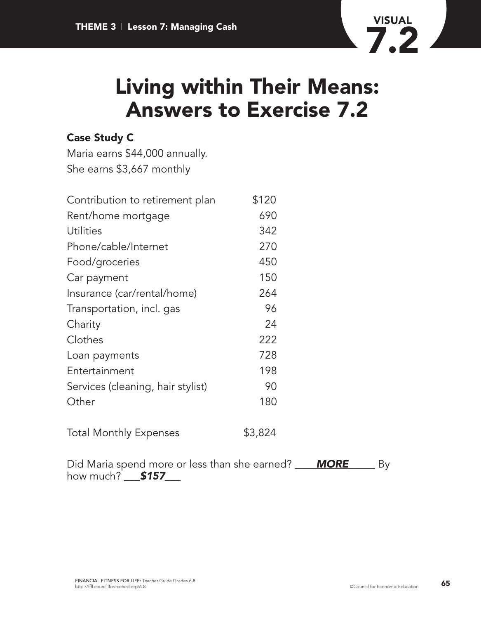

### **Case Study C**

Maria earns \$44,000 annually. She earns \$3,667 monthly

| Contribution to retirement plan   | \$120   |
|-----------------------------------|---------|
| Rent/home mortgage                | 690     |
| Utilities                         | 342     |
| Phone/cable/Internet              | 270     |
| Food/groceries                    | 450     |
| Car payment                       | 150     |
| Insurance (car/rental/home)       | 264     |
| Transportation, incl. gas         | 96      |
| Charity                           | 24      |
| Clothes                           | 222     |
| Loan payments                     | 728     |
| Entertainment                     | 198     |
| Services (cleaning, hair stylist) | 90      |
| Other                             | 180     |
| <b>Total Monthly Expenses</b>     | \$3,824 |

Did Maria spend more or less than she earned? \_\_\_\_*MORE*\_\_\_\_\_ By how much? **\$157**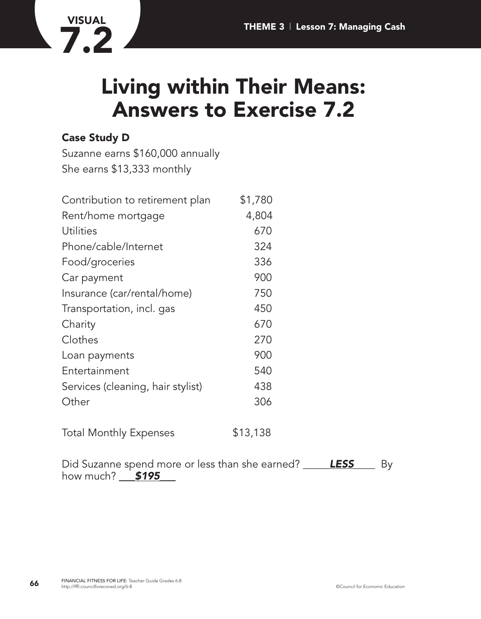

### **Case Study D**

Suzanne earns \$160,000 annually She earns \$13,333 monthly

| Contribution to retirement plan   | \$1,780 |
|-----------------------------------|---------|
| Rent/home mortgage                | 4,804   |
| <b>Utilities</b>                  | 670     |
| Phone/cable/Internet              | 324     |
| Food/groceries                    | 336     |
| Car payment                       | 900     |
| Insurance (car/rental/home)       | 750     |
| Transportation, incl. gas         | 450     |
| Charity                           | 670     |
| Clothes                           | 270     |
| Loan payments                     | 900     |
| Entertainment                     | 540     |
| Services (cleaning, hair stylist) | 438     |
| Other                             | 306     |
|                                   |         |

Total Monthly Expenses \$13,138

Did Suzanne spend more or less than she earned? \_\_\_\_*\_LESS\_*\_\_\_ By how much? **\_\_\_ \$195\_**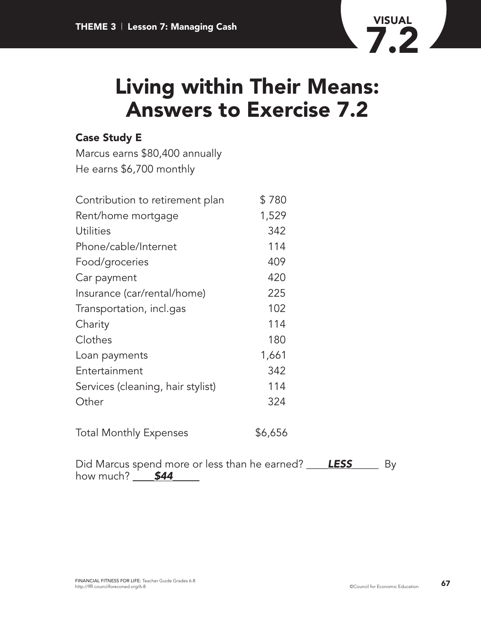

### **Case Study E**

Marcus earns \$80,400 annually He earns \$6,700 monthly

| Contribution to retirement plan   | \$780 |
|-----------------------------------|-------|
| Rent/home mortgage                | 1,529 |
| <b>Utilities</b>                  | 342   |
| Phone/cable/Internet              | 114   |
| Food/groceries                    | 409   |
| Car payment                       | 420   |
| Insurance (car/rental/home)       | 225   |
| Transportation, incl.gas          | 102   |
| Charity                           | 114   |
| Clothes                           | 180   |
| Loan payments                     | 1,661 |
| Entertainment                     | 342   |
| Services (cleaning, hair stylist) | 114   |
| Other                             | 324   |
|                                   |       |

Total Monthly Expenses  $$6,656$ 

Did Marcus spend more or less than he earned? \_\_\_*\_LESS*\_\_\_\_\_ By how much? **\$44**